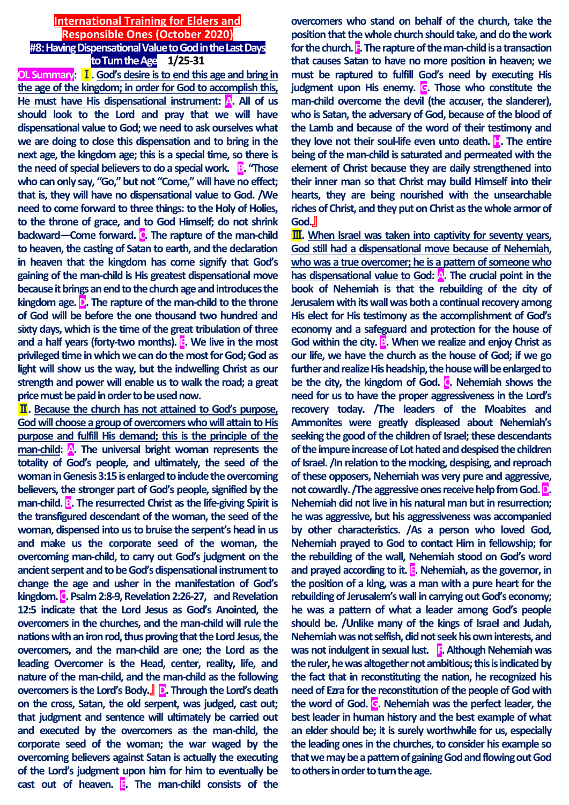### **International Training for Elders and Responsible Ones (October 2020) #8: Having Dispensational Value to God in the Last Days**

**to Turn the Age 1/25-31 OL Summary:** Ⅰ**. God's desire is to end this age and bring in the age of the kingdom; in order for God to accomplish this,**  He must have His dispensational instrument: A. All of us **should look to the Lord and pray that we will have dispensational value to God; we need to ask ourselves what we are doing to close this dispensation and to bring in the next age, the kingdom age; this is a special time, so there is the need of special believers to do a special work. B. "Those who can only say, "Go," but not "Come," will have no effect; that is, they will have no dispensational value to God. /We need to come forward to three things: to the Holy of Holies, to the throne of grace, and to God Himself; do not shrink backward—Come forward. C**. The rapture of the man-child **to heaven, the casting of Satan to earth, and the declaration in heaven that the kingdom has come signify that God's gaining of the man-child is His greatest dispensational move because it brings an end to the church age and introduces the kingdom age. D. The rapture of the man-child to the throne of God will be before the one thousand two hundred and sixty days, which is the time of the great tribulation of three and a half years (forty-two months). E. We live in the most privileged time in which we can do the most for God; God as light will show us the way, but the indwelling Christ as our strength and power will enable us to walk the road; a great price must be paid in order to be used now.**

Ⅱ**. Because the church has not attained to God's purpose, God will choose a group of overcomers who will attain to His purpose and fulfill His demand; this is the principle of the man-child: A. The universal bright woman represents the totality of God's people, and ultimately, the seed of the woman in Genesis 3:15 is enlarged to include the overcoming believers, the stronger part of God's people, signified by the man-child. B**. The resurrected Christ as the life-giving Spirit is **the transfigured descendant of the woman, the seed of the woman, dispensed into us to bruise the serpent's head in us and make us the corporate seed of the woman, the overcoming man-child, to carry out God's judgment on the ancient serpent and to be God's dispensational instrument to change the age and usher in the manifestation of God's kingdom. C. Psalm 2:8-9, Revelation 2:26-27, and Revelation 12:5 indicate that the Lord Jesus as God's Anointed, the overcomers in the churches, and the man-child will rule the nations with an iron rod, thus proving that the Lord Jesus, the overcomers, and the man-child are one; the Lord as the leading Overcomer is the Head, center, reality, life, and nature of the man-child, and the man-child as the following overcomers is the Lord's Body.**』 **D. Through the Lord's death on the cross, Satan, the old serpent, was judged, cast out; that judgment and sentence will ultimately be carried out and executed by the overcomers as the man-child, the corporate seed of the woman; the war waged by the overcoming believers against Satan is actually the executing of the Lord's judgment upon him for him to eventually be cast out of heaven. E. The man-child consists of the** 

**overcomers who stand on behalf of the church, take the position that the whole church should take, and do the work for the church. F. The rapture of the man-child is a transaction that causes Satan to have no more position in heaven; we must be raptured to fulfill God's need by executing His judgment upon His enemy. G. Those who constitute the man-child overcome the devil (the accuser, the slanderer), who is Satan, the adversary of God, because of the blood of the Lamb and because of the word of their testimony and**  they love not their soul-life even unto death. **H**. The entire **being of the man-child is saturated and permeated with the element of Christ because they are daily strengthened into their inner man so that Christ may build Himself into their hearts, they are being nourished with the unsearchable riches of Christ, and they put on Christ as the whole armor of God.**』

**III.** When Israel was taken into captivity for seventy years, **God still had a dispensational move because of Nehemiah, who was a true overcomer; he is a pattern of someone who**  has dispensational value to God: **A**. The crucial point in the **book of Nehemiah is that the rebuilding of the city of Jerusalem with its wall was both a continual recovery among His elect for His testimony as the accomplishment of God's economy and a safeguard and protection for the house of**  God within the city. **B**. When we realize and enjoy Christ as **our life, we have the church as the house of God; if we go further and realize His headship, the house will be enlarged to be the city, the kingdom of God. C. Nehemiah shows the need for us to have the proper aggressiveness in the Lord's recovery today. /The leaders of the Moabites and Ammonites were greatly displeased about Nehemiah's seeking the good of the children of Israel; these descendants of the impure increase of Lot hated and despised the children of Israel. /In relation to the mocking, despising, and reproach of these opposers, Nehemiah was very pure and aggressive, not cowardly. /The aggressive ones receive help from God. D. Nehemiah did not live in his natural man but in resurrection; he was aggressive, but his aggressiveness was accompanied by other characteristics. /As a person who loved God, Nehemiah prayed to God to contact Him in fellowship; for the rebuilding of the wall, Nehemiah stood on God's word and prayed according to it. E. Nehemiah, as the governor, in the position of a king, was a man with a pure heart for the rebuilding of Jerusalem's wall in carrying out God's economy; he was a pattern of what a leader among God's people should be. /Unlike many of the kings of Israel and Judah, Nehemiah was not selfish, did not seek his own interests, and**  was not indulgent in sexual lust. **F.** Although Nehemiah was **the ruler, he was altogether not ambitious; this is indicated by the fact that in reconstituting the nation, he recognized his need of Ezra for the reconstitution of the people of God with the word of God. G. Nehemiah was the perfect leader, the best leader in human history and the best example of what an elder should be; it is surely worthwhile for us, especially the leading ones in the churches, to consider his example so that we may be a pattern of gaining God and flowing out God to others in order to turn the age.**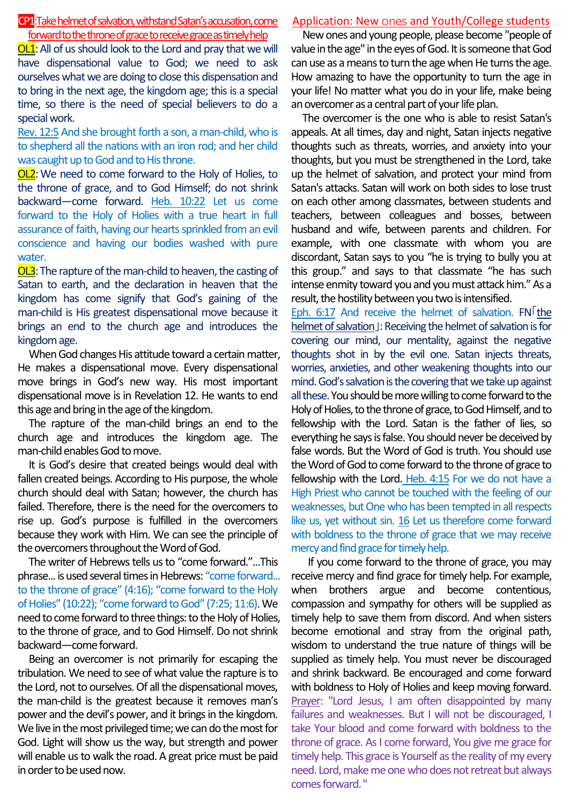## CP1:Takehelmet of salvation, withstand Satan's accusation, come forward to the throne of grace to receive grace as timely help

OL1:All of us should look to the Lord and pray that we will have dispensational value to God; we need to ask ourselves what we are doing to close this dispensation and to bring in the next age, the kingdom age; this is a special time, so there is the need of special believers to do a special work.

Rev. 12:5 And she brought forth a son, a man-child, who is to shepherd all the nations with an iron rod; and her child was caught up to God and to His throne.

OL2:We need to come forward to the Holy of Holies, to the throne of grace, and to God Himself; do not shrink backward—come forward. Heb. 10:22 Let us come forward to the Holy of Holies with a true heart in full assurance of faith, having our hearts sprinkled from an evil conscience and having our bodies washed with pure water.

OL3:The rapture of the man-child to heaven, the casting of Satan to earth, and the declaration in heaven that the kingdom has come signify that God's gaining of the man-child is His greatest dispensational move because it brings an end to the church age and introduces the kingdom age.

When God changes His attitude toward a certain matter, He makes a dispensational move. Every dispensational move brings in God's new way. His most important dispensational move is in Revelation 12. He wants to end this age and bring in the age of the kingdom.

The rapture of the man-child brings an end to the church age and introduces the kingdom age. The man-child enables God to move.

It is God's desire that created beings would deal with fallen created beings. According to His purpose, the whole church should deal with Satan; however, the church has failed. Therefore, there is the need for the overcomers to rise up. God's purpose is fulfilled in the overcomers because they work with Him. We can see the principle of the overcomers throughout the Word of God.

The writer of Hebrews tells us to "come forward."...This phrase... is used several times in Hebrews: "come forward... to the throne of grace" (4:16); "come forward to the Holy of Holies" (10:22); "come forward to God" (7:25; 11:6). We need to come forward to three things: to the Holy of Holies, to the throne of grace, and to God Himself. Do not shrink backward—come forward.

Being an overcomer is not primarily for escaping the tribulation. We need to see of what value the rapture is to the Lord, not to ourselves. Of all the dispensational moves, the man-child is the greatest because it removes man's power and the devil's power, and it brings in the kingdom. We live in the most privileged time; we can do the most for God. Light will show us the way, but strength and power will enable us to walk the road. A great price must be paid in order to be used now.

# Application: New ones and Youth/College students

New ones and young people, please become "people of value in the age" in the eyes of God. It is someone that God can use as a means to turn the age when He turns the age. How amazing to have the opportunity to turn the age in your life! No matter what you do in your life, make being an overcomer as a central part of your life plan.

The overcomer is the one who is able to resist Satan's appeals. At all times, day and night, Satan injects negative thoughts such as threats, worries, and anxiety into your thoughts, but you must be strengthened in the Lord, take up the helmet of salvation, and protect your mind from Satan's attacks. Satan will work on both sides to lose trust on each other among classmates, between students and teachers, between colleagues and bosses, between husband and wife, between parents and children. For example, with one classmate with whom you are discordant, Satan says to you "he is trying to bully you at this group." and says to that classmate "he has such intense enmity toward you and you must attack him." As a result, the hostility between you two is intensified.

Eph. 6:17 And receive the helmet of salvation. FN「the helmet of salvation」: Receiving the helmet of salvation is for covering our mind, our mentality, against the negative thoughts shot in by the evil one. Satan injects threats, worries, anxieties, and other weakening thoughts into our mind. God's salvation is the covering that we take up against all these. You should be more willing to come forward to the Holy of Holies, to the throne of grace, to God Himself, and to fellowship with the Lord. Satan is the father of lies, so everything he says is false. You should never be deceived by false words. But the Word of God is truth. You should use the Word of God to come forward to the throne of grace to fellowship with the Lord. Heb. 4:15 For we do not have a High Priest who cannot be touched with the feeling of our weaknesses, but One who has been tempted in all respects like us, yet without sin. 16 Let us therefore come forward with boldness to the throne of grace that we may receive mercy and find grace for timely help.

If you come forward to the throne of grace, you may receive mercy and find grace for timely help.For example, when brothers argue and become contentious, compassion and sympathy for others will be supplied as timely help to save them from discord. And when sisters become emotional and stray from the original path, wisdom to understand the true nature of things will be supplied as timely help. You must never be discouraged and shrink backward. Be encouraged and come forward with boldness to Holy of Holies and keep moving forward. Prayer: "Lord Jesus, I am often disappointed by many failures and weaknesses. But I will not be discouraged, I take Your blood and come forward with boldness to the throne of grace. As I come forward, You give me grace for timely help. This grace is Yourself as the reality of my every need. Lord, make me one who does not retreat but always comes forward. "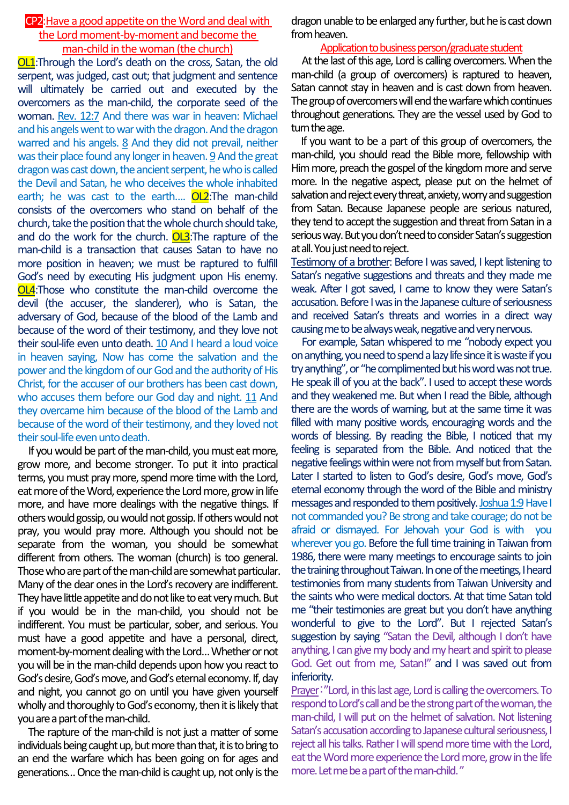## CP2:Have a good appetite on the Word and deal with the Lord moment-by-moment and become the man-child in the woman (the church)

OL1:Through the Lord's death on the cross, Satan, the old serpent, was judged, cast out; that judgment and sentence will ultimately be carried out and executed by the overcomers as the man-child, the corporate seed of the woman. Rev. 12:7 And there was war in heaven: Michael and his angels went to war with the dragon. And the dragon warred and his angels. 8 And they did not prevail, neither was their place found any longer in heaven. 9 And the great dragon was cast down, the ancient serpent, he who is called the Devil and Satan, he who deceives the whole inhabited earth; he was cast to the earth.... **OL2**: The man-child consists of the overcomers who stand on behalf of the church, take the position that the whole church should take, and do the work for the church. OL3: The rapture of the man-child is a transaction that causes Satan to have no more position in heaven; we must be raptured to fulfill God's need by executing His judgment upon His enemy. OL4:Those who constitute the man-child overcome the devil (the accuser, the slanderer), who is Satan, the adversary of God, because of the blood of the Lamb and because of the word of their testimony, and they love not their soul-life even unto death. 10 And I heard a loud voice in heaven saying, Now has come the salvation and the power and the kingdom of our God and the authority of His Christ, for the accuser of our brothers has been cast down, who accuses them before our God day and night. 11 And they overcame him because of the blood of the Lamb and because of the word of their testimony, and they loved not their soul-life even unto death.

If you would be part of the man-child, you must eat more, grow more, and become stronger. To put it into practical terms, you must pray more, spend more time with the Lord, eat more of the Word, experience the Lord more, grow in life more, and have more dealings with the negative things. If others would gossip, ou would not gossip. If others would not pray, you would pray more. Although you should not be separate from the woman, you should be somewhat different from others. The woman (church) is too general. Those who are part of the man-child are somewhat particular. Many of the dear ones in the Lord's recovery are indifferent. They have little appetite and do not like to eat very much. But if you would be in the man-child, you should not be indifferent. You must be particular, sober, and serious. You must have a good appetite and have a personal, direct, moment-by-moment dealing with the Lord…Whether or not you will be in the man-child depends upon how you react to God's desire, God's move, and God's eternal economy. If, day and night, you cannot go on until you have given yourself wholly and thoroughly to God's economy, then it is likely that you are a part of the man-child.

The rapture of the man-child is not just a matter of some individuals being caught up, but more than that, it is to bring to an end the warfare which has been going on for ages and generations…Once the man-child is caught up, not only is the

dragon unable to be enlarged any further, but he is cast down from heaven.

### Application to business person/graduate student

At the last of this age, Lord is calling overcomers. When the man-child (a group of overcomers) is raptured to heaven, Satan cannot stay in heaven and is cast down from heaven. The group of overcomers will end the warfare which continues throughout generations. They are the vessel used by God to turn the age.

If you want to be a part of this group of overcomers, the man-child, you should read the Bible more, fellowship with Him more, preach the gospel of the kingdom more and serve more. In the negative aspect, please put on the helmet of salvation and reject every threat, anxiety, worry and suggestion from Satan. Because Japanese people are serious natured, they tend to accept the suggestion and threat from Satan in a serious way. But you don't need to consider Satan's suggestion at all. You just need to reject.

Testimony of a brother: Before I was saved, I kept listening to Satan's negative suggestions and threats and they made me weak. After I got saved, I came to know they were Satan's accusation. Before I was in the Japanese culture of seriousness and received Satan's threats and worries in a direct way causing me to be always weak, negative and very nervous.

For example, Satan whispered to me "nobody expect you on anything, you need to spend a lazy life since it is waste if you try anything", or "he complimented but his word was not true. He speak ill of you at the back". I used to accept these words and they weakened me. But when I read the Bible, although there are the words of warning, but at the same time it was filled with many positive words, encouraging words and the words of blessing. By reading the Bible, I noticed that my feeling is separated from the Bible. And noticed that the negative feelings within were not from myself but from Satan. Later I started to listen to God's desire, God's move, God's eternal economy through the word of the Bible and ministry messages and responded to them positively. Joshua 1:9 Have I not commanded you? Be strong and take courage; do not be afraid or dismayed. For Jehovah your God is with you wherever you go. Before the full time training in Taiwan from 1986, there were many meetings to encourage saints to join the training throughout Taiwan. In one of the meetings, I heard testimonies from many students from Taiwan University and the saints who were medical doctors. At that time Satan told me "their testimonies are great but you don't have anything wonderful to give to the Lord". But I rejected Satan's suggestion by saying "Satan the Devil, although I don't have anything, I can give my body and my heart and spirit to please God. Get out from me, Satan!" and I was saved out from inferiority.

Prayer:"Lord, in this last age, Lord is calling the overcomers. To respond to Lord's call and be the strong part of the woman, the man-child, I will put on the helmet of salvation. Not listening Satan's accusation according to Japanese cultural seriousness, I reject all his talks. Rather I will spend more time with the Lord, eat the Word more experience the Lord more, grow in the life more. Let me be a part of the man-child. "